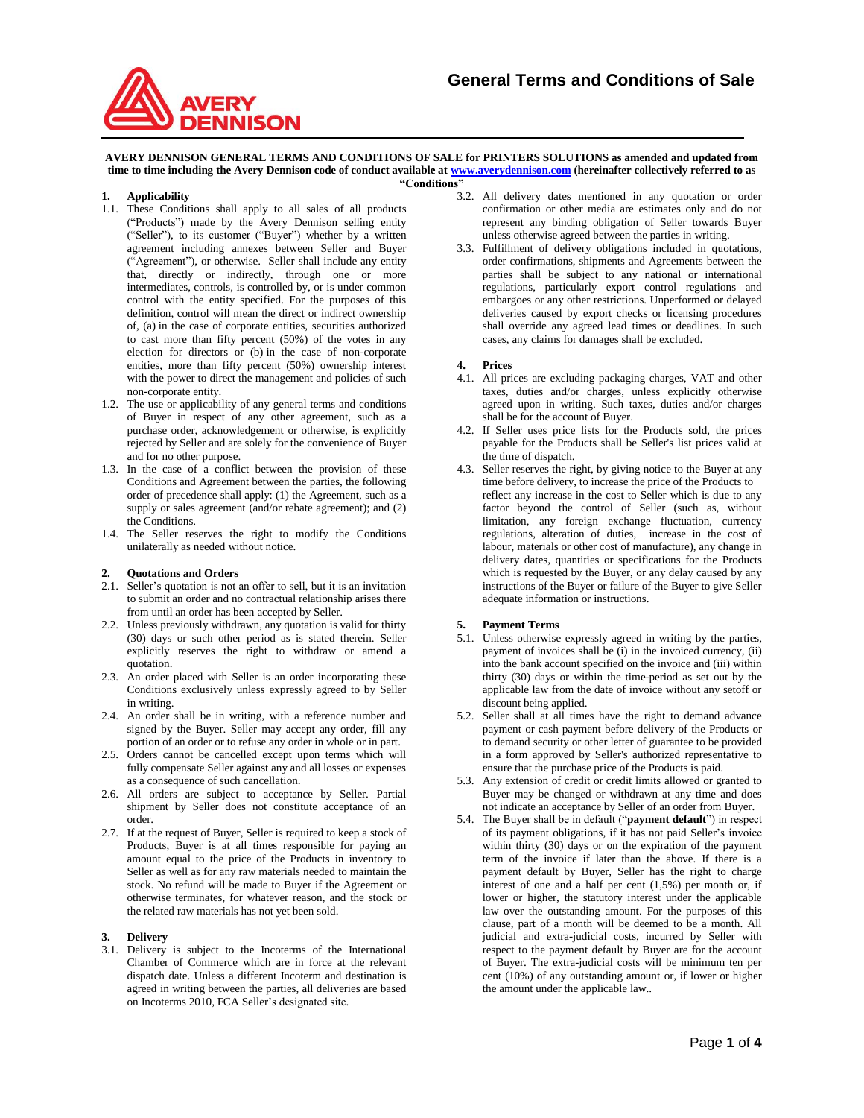

#### **AVERY DENNISON GENERAL TERMS AND CONDITIONS OF SALE for PRINTERS SOLUTIONS as amended and updated from time to time including the Avery Dennison code of conduct available a[t www.averydennison.com](http://www.averydennison.com/) (hereinafter collectively referred to as "Conditions"**

### **1. Applicability**

- 1.1. These Conditions shall apply to all sales of all products ("Products") made by the Avery Dennison selling entity ("Seller"), to its customer ("Buyer") whether by a written agreement including annexes between Seller and Buyer ("Agreement"), or otherwise. Seller shall include any entity that, directly or indirectly, through one or more intermediates, controls, is controlled by, or is under common control with the entity specified. For the purposes of this definition, control will mean the direct or indirect ownership of, (a) in the case of corporate entities, securities authorized to cast more than fifty percent (50%) of the votes in any election for directors or (b) in the case of non-corporate entities, more than fifty percent (50%) ownership interest with the power to direct the management and policies of such non-corporate entity.
- 1.2. The use or applicability of any general terms and conditions of Buyer in respect of any other agreement, such as a purchase order, acknowledgement or otherwise, is explicitly rejected by Seller and are solely for the convenience of Buyer and for no other purpose.
- 1.3. In the case of a conflict between the provision of these Conditions and Agreement between the parties, the following order of precedence shall apply: (1) the Agreement, such as a supply or sales agreement (and/or rebate agreement); and (2) the Conditions.
- 1.4. The Seller reserves the right to modify the Conditions unilaterally as needed without notice.

### **2. Quotations and Orders**

- 2.1. Seller's quotation is not an offer to sell, but it is an invitation to submit an order and no contractual relationship arises there from until an order has been accepted by Seller.
- 2.2. Unless previously withdrawn, any quotation is valid for thirty (30) days or such other period as is stated therein. Seller explicitly reserves the right to withdraw or amend a quotation.
- 2.3. An order placed with Seller is an order incorporating these Conditions exclusively unless expressly agreed to by Seller in writing.
- 2.4. An order shall be in writing, with a reference number and signed by the Buyer. Seller may accept any order, fill any portion of an order or to refuse any order in whole or in part.
- 2.5. Orders cannot be cancelled except upon terms which will fully compensate Seller against any and all losses or expenses as a consequence of such cancellation.
- 2.6. All orders are subject to acceptance by Seller. Partial shipment by Seller does not constitute acceptance of an order.
- 2.7. If at the request of Buyer, Seller is required to keep a stock of Products, Buyer is at all times responsible for paying an amount equal to the price of the Products in inventory to Seller as well as for any raw materials needed to maintain the stock. No refund will be made to Buyer if the Agreement or otherwise terminates, for whatever reason, and the stock or the related raw materials has not yet been sold.

### **3. Delivery**

3.1. Delivery is subject to the Incoterms of the International Chamber of Commerce which are in force at the relevant dispatch date. Unless a different Incoterm and destination is agreed in writing between the parties, all deliveries are based on Incoterms 2010, FCA Seller's designated site.

- 3.2. All delivery dates mentioned in any quotation or order confirmation or other media are estimates only and do not represent any binding obligation of Seller towards Buyer unless otherwise agreed between the parties in writing.
- 3.3. Fulfillment of delivery obligations included in quotations, order confirmations, shipments and Agreements between the parties shall be subject to any national or international regulations, particularly export control regulations and embargoes or any other restrictions. Unperformed or delayed deliveries caused by export checks or licensing procedures shall override any agreed lead times or deadlines. In such cases, any claims for damages shall be excluded.

## **4. Prices**

- 4.1. All prices are excluding packaging charges, VAT and other taxes, duties and/or charges, unless explicitly otherwise agreed upon in writing. Such taxes, duties and/or charges shall be for the account of Buyer.
- 4.2. If Seller uses price lists for the Products sold, the prices payable for the Products shall be Seller's list prices valid at the time of dispatch.
- 4.3. Seller reserves the right, by giving notice to the Buyer at any time before delivery, to increase the price of the Products to reflect any increase in the cost to Seller which is due to any factor beyond the control of Seller (such as, without limitation, any foreign exchange fluctuation, currency regulations, alteration of duties, increase in the cost of labour, materials or other cost of manufacture), any change in delivery dates, quantities or specifications for the Products which is requested by the Buyer, or any delay caused by any instructions of the Buyer or failure of the Buyer to give Seller adequate information or instructions.

## **5. Payment Terms**

- 5.1. Unless otherwise expressly agreed in writing by the parties, payment of invoices shall be (i) in the invoiced currency, (ii) into the bank account specified on the invoice and (iii) within thirty (30) days or within the time-period as set out by the applicable law from the date of invoice without any setoff or discount being applied.
- 5.2. Seller shall at all times have the right to demand advance payment or cash payment before delivery of the Products or to demand security or other letter of guarantee to be provided in a form approved by Seller's authorized representative to ensure that the purchase price of the Products is paid.
- 5.3. Any extension of credit or credit limits allowed or granted to Buyer may be changed or withdrawn at any time and does not indicate an acceptance by Seller of an order from Buyer.
- 5.4. The Buyer shall be in default ("**payment default**") in respect of its payment obligations, if it has not paid Seller's invoice within thirty (30) days or on the expiration of the payment term of the invoice if later than the above. If there is a payment default by Buyer, Seller has the right to charge interest of one and a half per cent (1,5%) per month or, if lower or higher, the statutory interest under the applicable law over the outstanding amount. For the purposes of this clause, part of a month will be deemed to be a month. All judicial and extra-judicial costs, incurred by Seller with respect to the payment default by Buyer are for the account of Buyer. The extra-judicial costs will be minimum ten per cent (10%) of any outstanding amount or, if lower or higher the amount under the applicable law..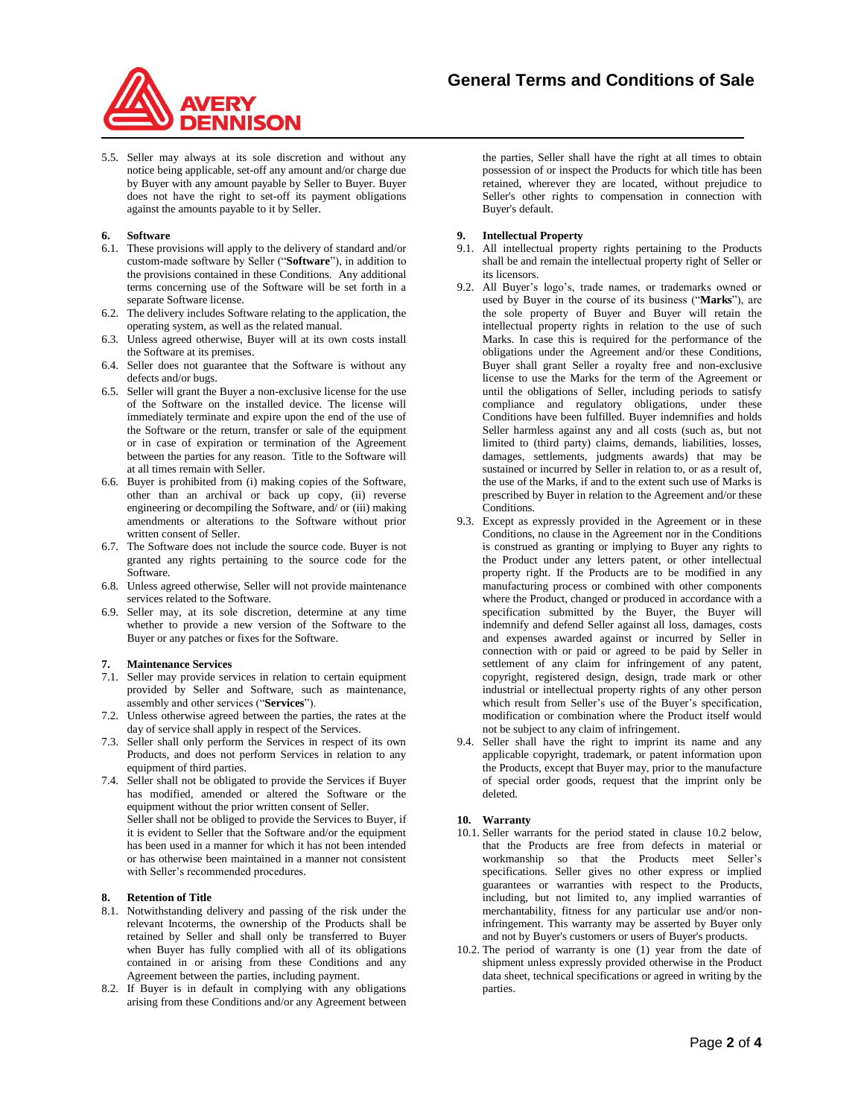

5.5. Seller may always at its sole discretion and without any notice being applicable, set-off any amount and/or charge due by Buyer with any amount payable by Seller to Buyer. Buyer does not have the right to set-off its payment obligations against the amounts payable to it by Seller.

## **6. Software**

- 6.1. These provisions will apply to the delivery of standard and/or custom-made software by Seller ("**Software**"), in addition to the provisions contained in these Conditions. Any additional terms concerning use of the Software will be set forth in a separate Software license.
- 6.2. The delivery includes Software relating to the application, the operating system, as well as the related manual.
- 6.3. Unless agreed otherwise, Buyer will at its own costs install the Software at its premises.
- 6.4. Seller does not guarantee that the Software is without any defects and/or bugs.
- 6.5. Seller will grant the Buyer a non-exclusive license for the use of the Software on the installed device. The license will immediately terminate and expire upon the end of the use of the Software or the return, transfer or sale of the equipment or in case of expiration or termination of the Agreement between the parties for any reason. Title to the Software will at all times remain with Seller.
- 6.6. Buyer is prohibited from (i) making copies of the Software, other than an archival or back up copy, (ii) reverse engineering or decompiling the Software, and/ or (iii) making amendments or alterations to the Software without prior written consent of Seller.
- 6.7. The Software does not include the source code. Buyer is not granted any rights pertaining to the source code for the Software.
- 6.8. Unless agreed otherwise, Seller will not provide maintenance services related to the Software.
- 6.9. Seller may, at its sole discretion, determine at any time whether to provide a new version of the Software to the Buyer or any patches or fixes for the Software.

### **7. Maintenance Services**

- 7.1. Seller may provide services in relation to certain equipment provided by Seller and Software, such as maintenance, assembly and other services ("**Services**").
- 7.2. Unless otherwise agreed between the parties, the rates at the day of service shall apply in respect of the Services.
- 7.3. Seller shall only perform the Services in respect of its own Products, and does not perform Services in relation to any equipment of third parties.
- 7.4. Seller shall not be obligated to provide the Services if Buyer has modified, amended or altered the Software or the equipment without the prior written consent of Seller. Seller shall not be obliged to provide the Services to Buyer, if it is evident to Seller that the Software and/or the equipment has been used in a manner for which it has not been intended or has otherwise been maintained in a manner not consistent with Seller's recommended procedures.

## **8. Retention of Title**

- 8.1. Notwithstanding delivery and passing of the risk under the relevant Incoterms, the ownership of the Products shall be retained by Seller and shall only be transferred to Buyer when Buyer has fully complied with all of its obligations contained in or arising from these Conditions and any Agreement between the parties, including payment.
- 8.2. If Buyer is in default in complying with any obligations arising from these Conditions and/or any Agreement between

the parties, Seller shall have the right at all times to obtain possession of or inspect the Products for which title has been retained, wherever they are located, without prejudice to Seller's other rights to compensation in connection with Buyer's default.

### **9. Intellectual Property**

- 9.1. All intellectual property rights pertaining to the Products shall be and remain the intellectual property right of Seller or its licensors.
- 9.2. All Buyer's logo's, trade names, or trademarks owned or used by Buyer in the course of its business ("**Marks**"), are the sole property of Buyer and Buyer will retain the intellectual property rights in relation to the use of such Marks. In case this is required for the performance of the obligations under the Agreement and/or these Conditions, Buyer shall grant Seller a royalty free and non-exclusive license to use the Marks for the term of the Agreement or until the obligations of Seller, including periods to satisfy compliance and regulatory obligations, under these Conditions have been fulfilled. Buyer indemnifies and holds Seller harmless against any and all costs (such as, but not limited to (third party) claims, demands, liabilities, losses, damages, settlements, judgments awards) that may be sustained or incurred by Seller in relation to, or as a result of, the use of the Marks, if and to the extent such use of Marks is prescribed by Buyer in relation to the Agreement and/or these Conditions.
- 9.3. Except as expressly provided in the Agreement or in these Conditions, no clause in the Agreement nor in the Conditions is construed as granting or implying to Buyer any rights to the Product under any letters patent, or other intellectual property right. If the Products are to be modified in any manufacturing process or combined with other components where the Product, changed or produced in accordance with a specification submitted by the Buyer, the Buyer will indemnify and defend Seller against all loss, damages, costs and expenses awarded against or incurred by Seller in connection with or paid or agreed to be paid by Seller in settlement of any claim for infringement of any patent, copyright, registered design, design, trade mark or other industrial or intellectual property rights of any other person which result from Seller's use of the Buyer's specification, modification or combination where the Product itself would not be subject to any claim of infringement.
- 9.4. Seller shall have the right to imprint its name and any applicable copyright, trademark, or patent information upon the Products, except that Buyer may, prior to the manufacture of special order goods, request that the imprint only be deleted.

### **10. Warranty**

- 10.1. Seller warrants for the period stated in clause 10.2 below, that the Products are free from defects in material or workmanship so that the Products meet Seller's specifications. Seller gives no other express or implied guarantees or warranties with respect to the Products, including, but not limited to, any implied warranties of merchantability, fitness for any particular use and/or noninfringement. This warranty may be asserted by Buyer only and not by Buyer's customers or users of Buyer's products.
- 10.2. The period of warranty is one (1) year from the date of shipment unless expressly provided otherwise in the Product data sheet, technical specifications or agreed in writing by the parties.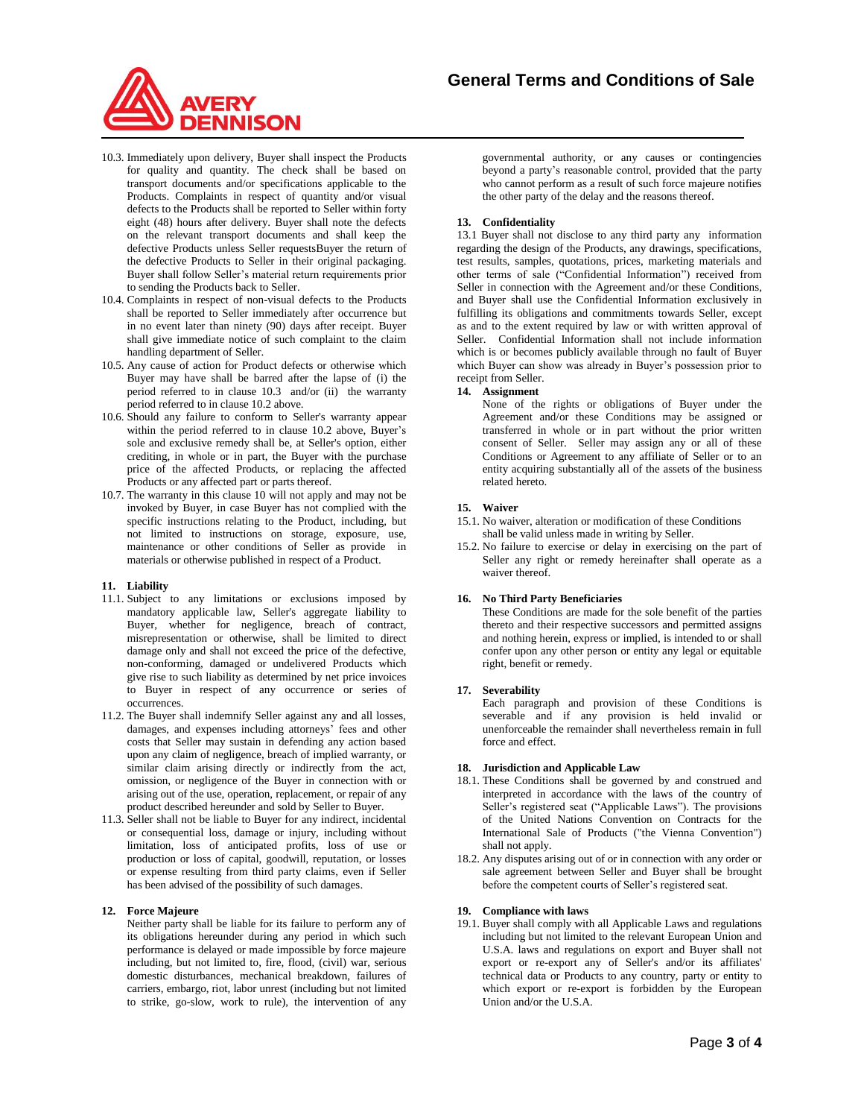

- 10.3. Immediately upon delivery, Buyer shall inspect the Products for quality and quantity. The check shall be based on transport documents and/or specifications applicable to the Products. Complaints in respect of quantity and/or visual defects to the Products shall be reported to Seller within forty eight (48) hours after delivery. Buyer shall note the defects on the relevant transport documents and shall keep the defective Products unless Seller requestsBuyer the return of the defective Products to Seller in their original packaging. Buyer shall follow Seller's material return requirements prior to sending the Products back to Seller.
- 10.4. Complaints in respect of non-visual defects to the Products shall be reported to Seller immediately after occurrence but in no event later than ninety (90) days after receipt. Buyer shall give immediate notice of such complaint to the claim handling department of Seller.
- 10.5. Any cause of action for Product defects or otherwise which Buyer may have shall be barred after the lapse of (i) the period referred to in clause 10.3 and/or (ii) the warranty period referred to in clause 10.2 above.
- 10.6. Should any failure to conform to Seller's warranty appear within the period referred to in clause 10.2 above, Buyer's sole and exclusive remedy shall be, at Seller's option, either crediting, in whole or in part, the Buyer with the purchase price of the affected Products, or replacing the affected Products or any affected part or parts thereof.
- 10.7. The warranty in this clause 10 will not apply and may not be invoked by Buyer, in case Buyer has not complied with the specific instructions relating to the Product, including, but not limited to instructions on storage, exposure, use, maintenance or other conditions of Seller as provide in materials or otherwise published in respect of a Product.

### **11. Liability**

- 11.1. Subject to any limitations or exclusions imposed by mandatory applicable law, Seller's aggregate liability to Buyer, whether for negligence, breach of contract, misrepresentation or otherwise, shall be limited to direct damage only and shall not exceed the price of the defective, non-conforming, damaged or undelivered Products which give rise to such liability as determined by net price invoices to Buyer in respect of any occurrence or series of occurrences.
- 11.2. The Buyer shall indemnify Seller against any and all losses, damages, and expenses including attorneys' fees and other costs that Seller may sustain in defending any action based upon any claim of negligence, breach of implied warranty, or similar claim arising directly or indirectly from the act, omission, or negligence of the Buyer in connection with or arising out of the use, operation, replacement, or repair of any product described hereunder and sold by Seller to Buyer.
- 11.3. Seller shall not be liable to Buyer for any indirect, incidental or consequential loss, damage or injury, including without limitation, loss of anticipated profits, loss of use or production or loss of capital, goodwill, reputation, or losses or expense resulting from third party claims, even if Seller has been advised of the possibility of such damages.

## **12. Force Majeure**

Neither party shall be liable for its failure to perform any of its obligations hereunder during any period in which such performance is delayed or made impossible by force majeure including, but not limited to, fire, flood, (civil) war, serious domestic disturbances, mechanical breakdown, failures of carriers, embargo, riot, labor unrest (including but not limited to strike, go-slow, work to rule), the intervention of any

governmental authority, or any causes or contingencies beyond a party's reasonable control, provided that the party who cannot perform as a result of such force majeure notifies the other party of the delay and the reasons thereof.

## **13. Confidentiality**

13.1 Buyer shall not disclose to any third party any information regarding the design of the Products, any drawings, specifications, test results, samples, quotations, prices, marketing materials and other terms of sale ("Confidential Information") received from Seller in connection with the Agreement and/or these Conditions, and Buyer shall use the Confidential Information exclusively in fulfilling its obligations and commitments towards Seller, except as and to the extent required by law or with written approval of Seller. Confidential Information shall not include information which is or becomes publicly available through no fault of Buyer which Buyer can show was already in Buyer's possession prior to receipt from Seller.

## **14. Assignment**

None of the rights or obligations of Buyer under the Agreement and/or these Conditions may be assigned or transferred in whole or in part without the prior written consent of Seller. Seller may assign any or all of these Conditions or Agreement to any affiliate of Seller or to an entity acquiring substantially all of the assets of the business related hereto.

## **15. Waiver**

- 15.1. No waiver, alteration or modification of these Conditions shall be valid unless made in writing by Seller.
- 15.2. No failure to exercise or delay in exercising on the part of Seller any right or remedy hereinafter shall operate as a waiver thereof.

## **16. No Third Party Beneficiaries**

These Conditions are made for the sole benefit of the parties thereto and their respective successors and permitted assigns and nothing herein, express or implied, is intended to or shall confer upon any other person or entity any legal or equitable right, benefit or remedy.

### **17. Severability**

Each paragraph and provision of these Conditions is severable and if any provision is held invalid or unenforceable the remainder shall nevertheless remain in full force and effect.

# **18. Jurisdiction and Applicable Law**

- 18.1. These Conditions shall be governed by and construed and interpreted in accordance with the laws of the country of Seller's registered seat ("Applicable Laws"). The provisions of the United Nations Convention on Contracts for the International Sale of Products ("the Vienna Convention") shall not apply.
- 18.2. Any disputes arising out of or in connection with any order or sale agreement between Seller and Buyer shall be brought before the competent courts of Seller's registered seat.

## **19. Compliance with laws**

19.1. Buyer shall comply with all Applicable Laws and regulations including but not limited to the relevant European Union and U.S.A. laws and regulations on export and Buyer shall not export or re-export any of Seller's and/or its affiliates' technical data or Products to any country, party or entity to which export or re-export is forbidden by the European Union and/or the U.S.A.